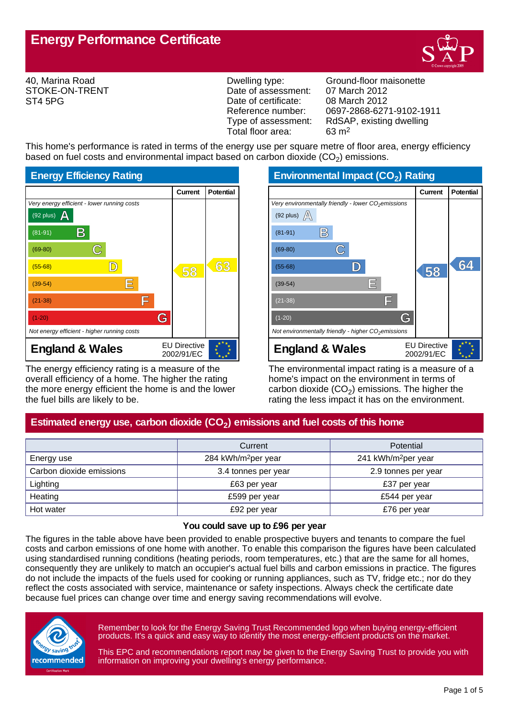

40, Marina Road STOKE-ON-TRENT ST4 5PG

Date of assessment: 07 March 2012<br>Date of certificate: 08 March 2012 Date of certificate:<br>Reference number: Total floor area: 63 m2

Dwelling type: Ground-floor maisonette Reference number: 0697-2868-6271-9102-1911<br>Type of assessment: RdSAP, existing dwelling RdSAP, existing dwelling

This home's performance is rated in terms of the energy use per square metre of floor area, energy efficiency based on fuel costs and environmental impact based on carbon dioxide (CO<sub>2</sub>) emissions.



The energy efficiency rating is a measure of the overall efficiency of a home. The higher the rating the more energy efficient the home is and the lower the fuel bills are likely to be.

**Environmental Impact (CO<sup>2</sup> ) Rating**

|                                                                 | Current                           | <b>Potential</b> |
|-----------------------------------------------------------------|-----------------------------------|------------------|
| Very environmentally friendly - lower CO <sub>2</sub> emissions |                                   |                  |
| (92 plus) $\mathbb{A}$                                          |                                   |                  |
| B<br>$(81-91)$                                                  |                                   |                  |
| $(69-80)$                                                       |                                   |                  |
| $(55-68)$                                                       | 58                                | 64               |
| E<br>$(39-54)$                                                  |                                   |                  |
| F<br>$(21-38)$                                                  |                                   |                  |
| G<br>$(1-20)$                                                   |                                   |                  |
| Not environmentally friendly - higher $CO2$ emissions           |                                   |                  |
| <b>England &amp; Wales</b>                                      | <b>EU Directive</b><br>2002/91/EC |                  |

The environmental impact rating is a measure of a home's impact on the environment in terms of carbon dioxide (CO<sub>2</sub>) emissions. The higher the rating the less impact it has on the environment.

# **Estimated energy use, carbon dioxide (CO<sup>2</sup> ) emissions and fuel costs of this home**

|                          | Current                         | <b>Potential</b>                |
|--------------------------|---------------------------------|---------------------------------|
| Energy use               | 284 kWh/m <sup>2</sup> per year | 241 kWh/m <sup>2</sup> per year |
| Carbon dioxide emissions | 3.4 tonnes per year             | 2.9 tonnes per year             |
| Lighting                 | £63 per year                    | £37 per year                    |
| Heating                  | £599 per year                   | £544 per year                   |
| Hot water                | £92 per year                    | £76 per year                    |

#### **You could save up to £96 per year**

The figures in the table above have been provided to enable prospective buyers and tenants to compare the fuel costs and carbon emissions of one home with another. To enable this comparison the figures have been calculated using standardised running conditions (heating periods, room temperatures, etc.) that are the same for all homes, consequently they are unlikely to match an occupier's actual fuel bills and carbon emissions in practice. The figures do not include the impacts of the fuels used for cooking or running appliances, such as TV, fridge etc.; nor do they reflect the costs associated with service, maintenance or safety inspections. Always check the certificate date because fuel prices can change over time and energy saving recommendations will evolve.



Remember to look for the Energy Saving Trust Recommended logo when buying energy-efficient products. It's a quick and easy way to identify the most energy-efficient products on the market.

This EPC and recommendations report may be given to the Energy Saving Trust to provide you with information on improving your dwelling's energy performance.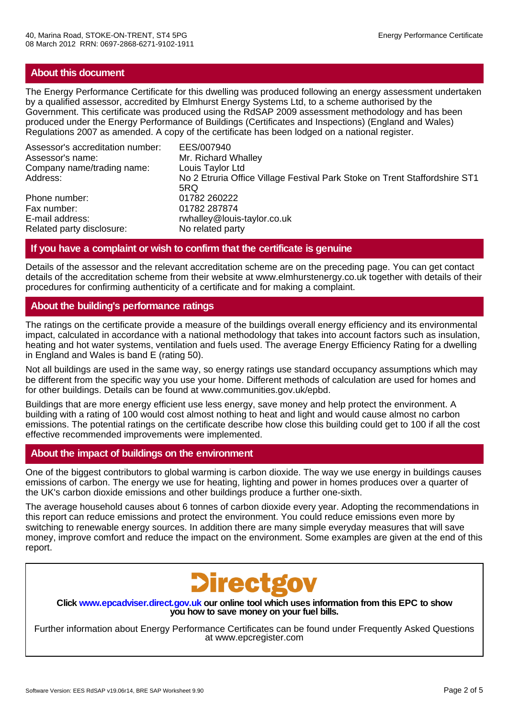## **About this document**

The Energy Performance Certificate for this dwelling was produced following an energy assessment undertaken by a qualified assessor, accredited by Elmhurst Energy Systems Ltd, to a scheme authorised by the Government. This certificate was produced using the RdSAP 2009 assessment methodology and has been produced under the Energy Performance of Buildings (Certificates and Inspections) (England and Wales) Regulations 2007 as amended. A copy of the certificate has been lodged on a national register.

| Assessor's accreditation number: | EES/007940                                                                 |
|----------------------------------|----------------------------------------------------------------------------|
| Assessor's name:                 | Mr. Richard Whalley                                                        |
| Company name/trading name:       | Louis Taylor Ltd                                                           |
| Address:                         | No 2 Etruria Office Village Festival Park Stoke on Trent Staffordshire ST1 |
|                                  | 5RQ                                                                        |
| Phone number:                    | 01782 260222                                                               |
| Fax number:                      | 01782 287874                                                               |
| E-mail address:                  | rwhalley@louis-taylor.co.uk                                                |
| Related party disclosure:        | No related party                                                           |

## **If you have a complaint or wish to confirm that the certificate is genuine**

Details of the assessor and the relevant accreditation scheme are on the preceding page. You can get contact details of the accreditation scheme from their website at www.elmhurstenergy.co.uk together with details of their procedures for confirming authenticity of a certificate and for making a complaint.

## **About the building's performance ratings**

The ratings on the certificate provide a measure of the buildings overall energy efficiency and its environmental impact, calculated in accordance with a national methodology that takes into account factors such as insulation, heating and hot water systems, ventilation and fuels used. The average Energy Efficiency Rating for a dwelling in England and Wales is band E (rating 50).

Not all buildings are used in the same way, so energy ratings use standard occupancy assumptions which may be different from the specific way you use your home. Different methods of calculation are used for homes and for other buildings. Details can be found at www.communities.gov.uk/epbd.

Buildings that are more energy efficient use less energy, save money and help protect the environment. A building with a rating of 100 would cost almost nothing to heat and light and would cause almost no carbon emissions. The potential ratings on the certificate describe how close this building could get to 100 if all the cost effective recommended improvements were implemented.

## **About the impact of buildings on the environment**

One of the biggest contributors to global warming is carbon dioxide. The way we use energy in buildings causes emissions of carbon. The energy we use for heating, lighting and power in homes produces over a quarter of the UK's carbon dioxide emissions and other buildings produce a further one-sixth.

The average household causes about 6 tonnes of carbon dioxide every year. Adopting the recommendations in this report can reduce emissions and protect the environment. You could reduce emissions even more by switching to renewable energy sources. In addition there are many simple everyday measures that will save money, improve comfort and reduce the impact on the environment. Some examples are given at the end of this report.



**Click www.epcadviser.direct.gov.uk our online tool which uses information from this EPC to show you how to save money on your fuel bills.**

Further information about Energy Performance Certificates can be found under Frequently Asked Questions at www.epcregister.com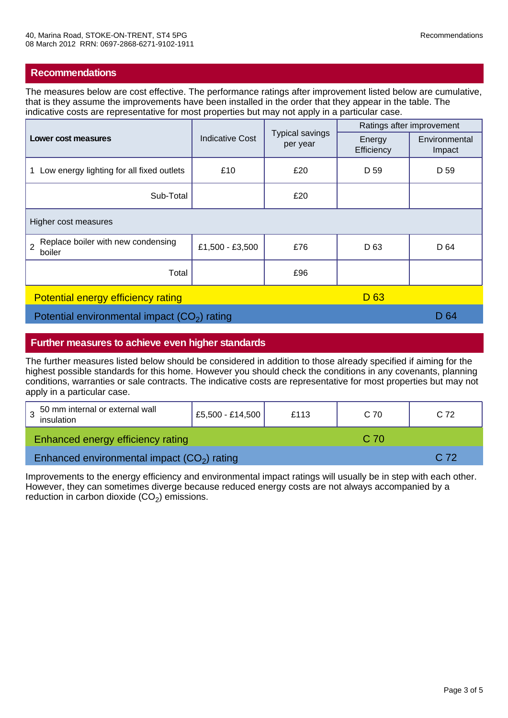The measures below are cost effective. The performance ratings after improvement listed below are cumulative, that is they assume the improvements have been installed in the order that they appear in the table. The indicative costs are representative for most properties but may not apply in a particular case.

| Lower cost measures                                            | <b>Indicative Cost</b> | <b>Typical savings</b><br>per year | Ratings after improvement |                         |
|----------------------------------------------------------------|------------------------|------------------------------------|---------------------------|-------------------------|
|                                                                |                        |                                    | Energy<br>Efficiency      | Environmental<br>Impact |
| Low energy lighting for all fixed outlets<br>$\mathbf 1$       | £10                    | £20                                | D 59                      | D 59                    |
| Sub-Total                                                      |                        | £20                                |                           |                         |
| Higher cost measures                                           |                        |                                    |                           |                         |
| Replace boiler with new condensing<br>$\overline{2}$<br>boiler | £1,500 - £3,500        | £76                                | D <sub>63</sub>           | D 64                    |
| Total                                                          |                        | £96                                |                           |                         |
| D <sub>63</sub><br><b>Potential energy efficiency rating</b>   |                        |                                    |                           |                         |
| Potential environmental impact $(CO2)$ rating                  |                        |                                    | D 64                      |                         |

## **Further measures to achieve even higher standards**

The further measures listed below should be considered in addition to those already specified if aiming for the highest possible standards for this home. However you should check the conditions in any covenants, planning conditions, warranties or sale contracts. The indicative costs are representative for most properties but may not apply in a particular case.

| 50 mm internal or external wall<br>insulation | £5,500 - £14,500 | £113 | C 70 | C <sub>72</sub> |  |
|-----------------------------------------------|------------------|------|------|-----------------|--|
| Enhanced energy efficiency rating             |                  |      | C.70 |                 |  |
| Enhanced environmental impact $(CO2)$ rating  |                  |      | C.72 |                 |  |

Improvements to the energy efficiency and environmental impact ratings will usually be in step with each other. However, they can sometimes diverge because reduced energy costs are not always accompanied by a reduction in carbon dioxide  $(CO<sub>2</sub>)$  emissions.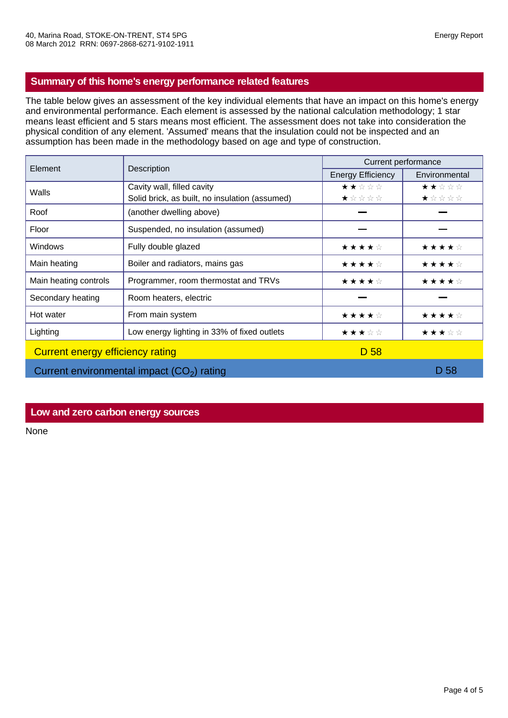## **Summary of this home's energy performance related features**

The table below gives an assessment of the key individual elements that have an impact on this home's energy and environmental performance. Each element is assessed by the national calculation methodology; 1 star means least efficient and 5 stars means most efficient. The assessment does not take into consideration the physical condition of any element. 'Assumed' means that the insulation could not be inspected and an assumption has been made in the methodology based on age and type of construction.

| Element                                     | Description                                    | Current performance      |               |
|---------------------------------------------|------------------------------------------------|--------------------------|---------------|
|                                             |                                                | <b>Energy Efficiency</b> | Environmental |
| Walls                                       | Cavity wall, filled cavity                     | ★★☆☆☆                    | ★★☆☆☆         |
|                                             | Solid brick, as built, no insulation (assumed) | ★☆☆☆☆                    | ★☆☆☆☆         |
| Roof                                        | (another dwelling above)                       |                          |               |
| Floor                                       | Suspended, no insulation (assumed)             |                          |               |
| <b>Windows</b>                              | Fully double glazed                            | ★★★★☆                    | ★★★★☆         |
| Main heating                                | Boiler and radiators, mains gas                | ★★★★☆                    | ★★★★☆         |
| Main heating controls                       | Programmer, room thermostat and TRVs           | ★★★★☆                    | ★★★★☆         |
| Secondary heating                           | Room heaters, electric                         |                          |               |
| Hot water                                   | From main system                               | ★★★★☆                    | ★★★★☆         |
| Lighting                                    | Low energy lighting in 33% of fixed outlets    | ★★★☆☆                    | ★★★☆☆         |
| Current energy efficiency rating            |                                                | D 58                     |               |
| Current environmental impact $(CO2)$ rating |                                                |                          | D 58          |

## **Low and zero carbon energy sources**

None